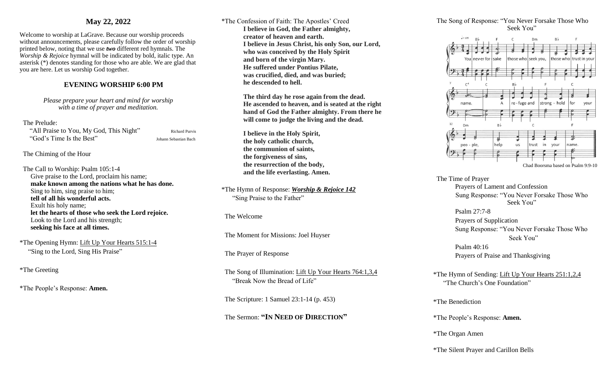## **May 22, 2022**

Welcome to worship at LaGrave. Because our worship proceeds without announcements, please carefully follow the order of worship printed below, noting that we use *two* different red hymnals. The *Worship & Rejoice* hymnal will be indicated by bold, italic type. An asterisk (\*) denotes standing for those who are able. We are glad that you are here. Let us worship God together.

## **EVENING WORSHIP 6:00 PM**

*Please prepare your heart and mind for worship with a time of prayer and meditation.*

The Prelude:

"All Praise to You, My God, This Night" Richard Purvis "God's Time Is the Best" Johann Sebastian Bach

The Chiming of the Hour

 The Call to Worship: Psalm 105:1-4 Give praise to the Lord, proclaim his name; **make known among the nations what he has done.**  Sing to him, sing praise to him; **tell of all his wonderful acts.** Exult his holy name; **let the hearts of those who seek the Lord rejoice.**  Look to the Lord and his strength; **seeking his face at all times.** 

\*The Opening Hymn: Lift Up Your Hearts 515:1-4 "Sing to the Lord, Sing His Praise"

\*The Greeting

\*The People's Response: **Amen.**

\*The Confession of Faith: The Apostles' Creed **I believe in God, the Father almighty, creator of heaven and earth. I believe in Jesus Christ, his only Son, our Lord, who was conceived by the Holy Spirit and born of the virgin Mary. He suffered under Pontius Pilate, was crucified, died, and was buried; he descended to hell.**

> **The third day he rose again from the dead. He ascended to heaven, and is seated at the right hand of God the Father almighty. From there he will come to judge the living and the dead.**

 **I believe in the Holy Spirit, the holy catholic church, the communion of saints, the forgiveness of sins, the resurrection of the body, and the life everlasting. Amen.**

\*The Hymn of Response: *Worship & Rejoice 142* "Sing Praise to the Father"

The Welcome

The Moment for Missions: Joel Huyser

The Prayer of Response

 The Song of Illumination: Lift Up Your Hearts 764:1,3,4 "Break Now the Bread of Life"

The Scripture: 1 Samuel 23:1-14 (p. 453)

## The Sermon: **"IN NEED OF DIRECTION"**

 The Song of Response: "You Never Forsake Those Who Seek You"



 The Time of Prayer Prayers of Lament and Confession Sung Response: "You Never Forsake Those Who Seek You" Psalm 27:7-8 Prayers of Supplication Sung Response: "You Never Forsake Those Who

Seek You"

Psalm 40:16 Prayers of Praise and Thanksgiving

\*The Hymn of Sending: Lift Up Your Hearts 251:1,2,4 "The Church's One Foundation"

\*The Benediction

\*The People's Response: **Amen.**

\*The Organ Amen

\*The Silent Prayer and Carillon Bells